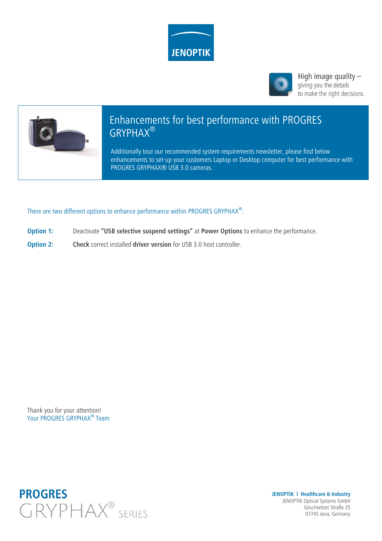



High image quality  $$ giving you the details to make the right decisions.



# Enhancements for best performance with PROGRES GRYPHAX®

Additionally tour our recommended system requirements newsletter, please find below enhancements to set-up your customers Laptop or Desktop computer for best performance with PROGRES GRYPHAX® USB 3.0 cameras.

There are two different options to enhance performance within PROGRES GRYPHAX<sup>®</sup>:

- **Option 1:** Deactivate **"USB selective suspend settings"** at **Power Options** to enhance the performance.
- **Option 2: Check** correct installed **driver version** for USB 3.0 host controller.

Thank you for your attention! Your PROGRES GRYPHAX<sup>®</sup> Team



**JENOPTIK l Healthcare & Industry** JENOPTIK Optical Systems GmbH Göschwitzer Straße 25 07745 Jena, Germany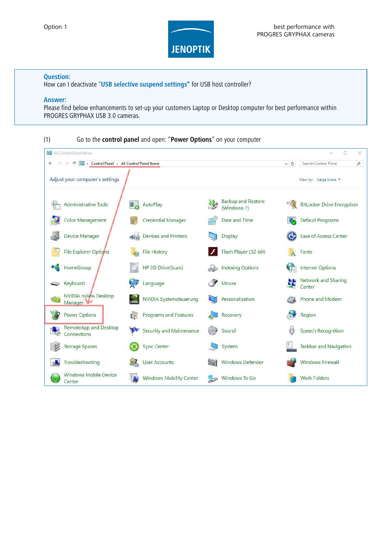

# **Question:**

How can I deactivate "**USB selective suspend settings"** for USB host controller?

# **Answer:**

Please find below enhancements to set-up your customers Laptop or Desktop computer for best performance within PROGRES GRYPHAX USB 3.0 cameras.

| (1)<br>All Control Panel Items                                        | Go to the control panel and open: "Power Options" on your computer |                                          | $\Box$<br>$\times$                            |
|-----------------------------------------------------------------------|--------------------------------------------------------------------|------------------------------------------|-----------------------------------------------|
| → ↑ 2 > Control Panel > All Control Panel Items<br>$\leftarrow$       |                                                                    |                                          | Search Control Panel<br>$\vee$ 0<br>$\varphi$ |
| Adjust your computer's settings                                       |                                                                    |                                          | View by: Large icons                          |
| <b>Administrative Tools</b>                                           | AutoPlay<br>Ц,                                                     | <b>Backup and Restore</b><br>(Windows 7) | <b>BitLocker Drive Encryption</b>             |
| <b>Color Management</b>                                               | <b>Credential Manager</b>                                          | Date and Time                            | Default Programs                              |
| <b>Device Manager</b>                                                 | <b>Devices and Printers</b><br>$\approx 1$                         | <b>Display</b>                           | Ease of Access Center                         |
| <b>File Explorer Options</b>                                          | <b>File History</b>                                                | Flash Player (32-bit)                    | Fonts                                         |
| HomeGroup                                                             | <b>HP 3D DriveGuard</b>                                            | <b>Indexing Options</b>                  | <b>Internet Options</b>                       |
| Keyboard                                                              | 子<br>Language                                                      | Mouse                                    | Network and Sharing<br>Center                 |
| <b>NVIDIA nView Desktop</b><br>$^{\circledR}$<br>Manager <sup>V</sup> | <b>NVIDIA Systemsteuerung</b>                                      | Personalization                          | Phone and Modem                               |
| <b>Power Options</b>                                                  | <b>Programs and Features</b><br>$\overline{\mathbf{u}}$            | Recovery                                 | Region                                        |
| RemoteApp and Desktop<br>Connections                                  | <b>Security and Maintenance</b>                                    | Sound<br>( C)                            | <b>Speech Recognition</b>                     |
| <b>Storage Spaces</b>                                                 | <b>Sync Center</b>                                                 | System                                   | Taskbar and Navigation                        |
| Troubleshooting                                                       | <b>User Accounts</b>                                               | <b>Windows Defender</b>                  | <b>Windows Firewall</b>                       |
| <b>Windows Mobile Device</b><br>Center                                | BT.<br><b>Windows Mobility Center</b>                              | Windows To Go                            | <b>Work Folders</b>                           |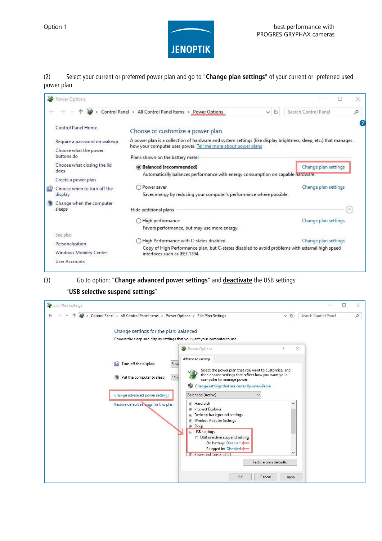

(2) Select your current or preferred power plan and go to "**Change plan settings**" of your current or preferred used power plan.

| Đ | Power Options                  |                                                                                                                                  |         |                      | × |
|---|--------------------------------|----------------------------------------------------------------------------------------------------------------------------------|---------|----------------------|---|
|   |                                | Control Panel > All Control Panel Items > Power Options                                                                          | $\circ$ | Search Control Panel | Q |
|   | Control Panel Home             | Choose or customize a power plan                                                                                                 |         |                      |   |
|   | Require a password on wakeup   | A power plan is a collection of hardware and system settings (like display brightness, sleep, etc.) that manages                 |         |                      |   |
|   | Choose what the power          | how your computer uses power. Tell me more about power plans                                                                     |         |                      |   |
|   | buttons do                     | Plans shown on the battery meter                                                                                                 |         |                      |   |
|   | Choose what closing the lid    | <b>Balanced (recommended)</b>                                                                                                    |         | Change plan settings |   |
|   | does                           | Automatically balances performance with energy consumption on capable hardware.                                                  |         |                      |   |
|   | Create a power plan            |                                                                                                                                  |         |                      |   |
|   | Choose when to turn off the    | Power saver                                                                                                                      |         | Change plan settings |   |
|   | display                        | Saves energy by reducing your computer's performance where possible.                                                             |         |                      |   |
|   | Change when the computer       |                                                                                                                                  |         |                      |   |
|   | sleeps                         | Hide additional plans                                                                                                            |         |                      |   |
|   |                                | ○ High performance                                                                                                               |         | Change plan settings |   |
|   |                                | Favors performance, but may use more energy.                                                                                     |         |                      |   |
|   | See also                       |                                                                                                                                  |         |                      |   |
|   | Personalization                | ◯ High Performance with C-states disabled                                                                                        |         | Change plan settings |   |
|   | <b>Windows Mobility Center</b> | Copy of High Performance plan, but C-states disabled to avoid problems with external high speed<br>interfaces such as IEEE 1394. |         |                      |   |
|   | User Accounts                  |                                                                                                                                  |         |                      |   |

(3) Go to option: "**Change advanced power settings**" and **deactivate** the USB settings:

# "**USB selective suspend settings**"

| Edit Plan Settings<br>> Control Panel > All Control Panel Items > Power Options > Edit Plan Settings<br>$\vee$ 0                                                                                    |       | Search Control Panel | ×<br>ρ |
|-----------------------------------------------------------------------------------------------------------------------------------------------------------------------------------------------------|-------|----------------------|--------|
| Change settings for the plan: Balanced<br>Choose the sleep and display settings that you want your computer to use.                                                                                 |       |                      |        |
| Power Options<br>Advanced settings                                                                                                                                                                  | ×     |                      |        |
| Turn off the display:<br>5 <sub>mi</sub><br>瓜り<br>Select the power plan that you want to customize, and<br>then choose settings that reflect how you want your<br>Put the computer to sleep:<br>15n |       |                      |        |
| computer to manage power.<br>Change settings that are currently unavailable<br>Ψ<br><b>Balanced [Active]</b><br>Change advanced power settings                                                      |       |                      |        |
| <b>IFI</b> Hard disk<br>Restore default settings for this plan<br>Film Internet Explorer<br>Desktop background settings                                                                             | ∧     |                      |        |
| Wireless Adapter Settings<br>Fi Sleep<br>□ USB settings                                                                                                                                             |       |                      |        |
| □ USB selective suspend setting<br>On battery: Disabled<br>Plugged in: Disabled                                                                                                                     |       |                      |        |
| <b>E. Power buttons and lide</b><br>Restore plan defaults                                                                                                                                           | v     |                      |        |
| OK<br>Cancel                                                                                                                                                                                        | Apply |                      |        |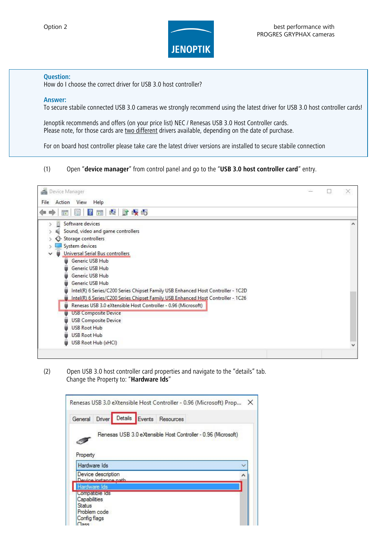

### **Question:**

How do I choose the correct driver for USB 3.0 host controller?

#### **Answer:**

To secure stabile connected USB 3.0 cameras we strongly recommend using the latest driver for USB 3.0 host controller cards!

Jenoptik recommends and offers (on your price list) NEC / Renesas USB 3.0 Host Controller cards. Please note, for those cards are two different drivers available, depending on the date of purchase.

For on board host controller please take care the latest driver versions are installed to secure stabile connection

# (1) Open "**device manager**" from control panel and go to the "**USB 3.0 host controller card**" entry.



(2) Open USB 3.0 host controller card properties and navigate to the "details" tab. Change the Property to: "**Hardware Ids**"

|                                                   |                                            |  | Renesas USB 3.0 eXtensible Host Controller - 0.96 (Microsoft) Prop |
|---------------------------------------------------|--------------------------------------------|--|--------------------------------------------------------------------|
| General                                           | <b>Driver</b>                              |  | Details Events Resources                                           |
| Property                                          |                                            |  | Renesas USB 3.0 eXtensible Host Controller - 0.96 (Microsoft)      |
|                                                   | Hardware Ids                               |  |                                                                    |
|                                                   | Device description<br>Device instance nath |  |                                                                    |
|                                                   | Hardware Ids                               |  |                                                                    |
| Capabilities<br>Status<br>Config flags<br>$T = 0$ | Compatible Ids<br>Problem code             |  |                                                                    |